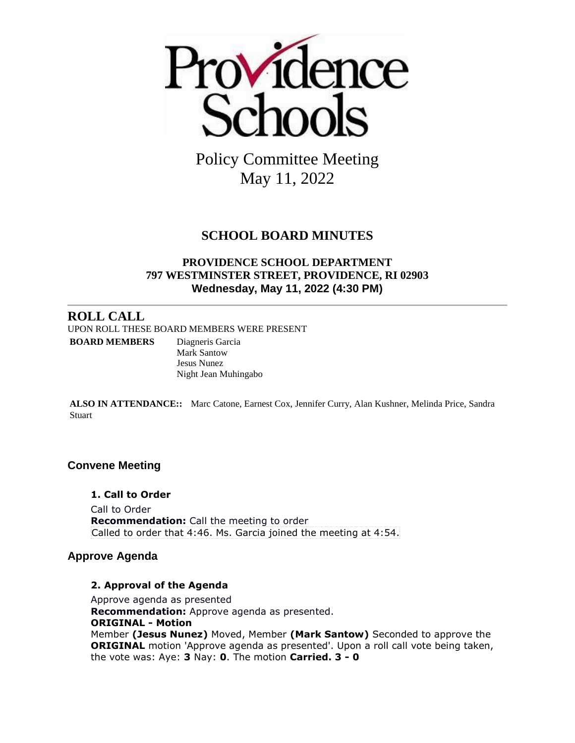

Policy Committee Meeting May 11, 2022

## **SCHOOL BOARD MINUTES**

#### **PROVIDENCE SCHOOL DEPARTMENT 797 WESTMINSTER STREET, PROVIDENCE, RI 02903 Wednesday, May 11, 2022 (4:30 PM)**

## **ROLL CALL**

UPON ROLL THESE BOARD MEMBERS WERE PRESENT **BOARD MEMBERS** Diagneris Garcia Mark Santow Jesus Nunez Night Jean Muhingabo

**ALSO IN ATTENDANCE::** Marc Catone, Earnest Cox, Jennifer Curry, Alan Kushner, Melinda Price, Sandra **Stuart** 

#### **Convene Meeting**

**1. Call to Order** Call to Order **Recommendation:** Call the meeting to order Called to order that 4:46. Ms. Garcia joined the meeting at 4:54.

#### **Approve Agenda**

#### **2. Approval of the Agenda**

Approve agenda as presented **Recommendation:** Approve agenda as presented. **ORIGINAL - Motion** Member **(Jesus Nunez)** Moved, Member **(Mark Santow)** Seconded to approve the **ORIGINAL** motion 'Approve agenda as presented'. Upon a roll call vote being taken, the vote was: Aye: **3** Nay: **0**. The motion **Carried. 3 - 0**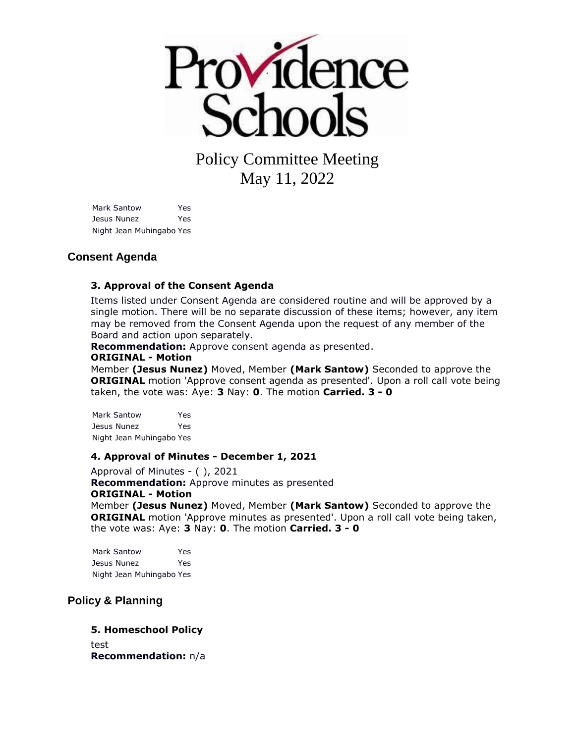

# Policy Committee Meeting May 11, 2022

Mark Santow Yes Jesus Nunez Yes Night Jean Muhingabo Yes

#### **Consent Agenda**

#### **3. Approval of the Consent Agenda**

Items listed under Consent Agenda are considered routine and will be approved by a single motion. There will be no separate discussion of these items; however, any item may be removed from the Consent Agenda upon the request of any member of the Board and action upon separately.

**Recommendation:** Approve consent agenda as presented.

#### **ORIGINAL - Motion**

Member **(Jesus Nunez)** Moved, Member **(Mark Santow)** Seconded to approve the **ORIGINAL** motion 'Approve consent agenda as presented'. Upon a roll call vote being taken, the vote was: Aye: **3** Nay: **0**. The motion **Carried. 3 - 0** 

Mark Santow Yes Jesus Nunez Yes Night Jean Muhingabo Yes

#### **4. Approval of Minutes - December 1, 2021**

Approval of Minutes - ( ), 2021 **Recommendation:** Approve minutes as presented **ORIGINAL - Motion** Member **(Jesus Nunez)** Moved, Member **(Mark Santow)** Seconded to approve the **ORIGINAL** motion 'Approve minutes as presented'. Upon a roll call vote being taken, the vote was: Aye: **3** Nay: **0**. The motion **Carried. 3 - 0** 

Mark Santow Yes Jesus Nunez Yes Night Jean Muhingabo Yes

#### **Policy & Planning**

#### **5. Homeschool Policy** test

**Recommendation:** n/a